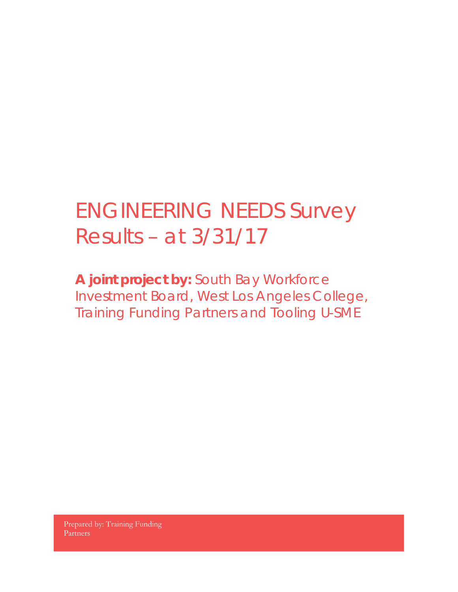## ENGINEERING NEEDS Survey Results – at 3/31/17

**A joint project by:** South Bay Workforce Investment Board, West Los Angeles College, Training Funding Partners and Tooling U-SME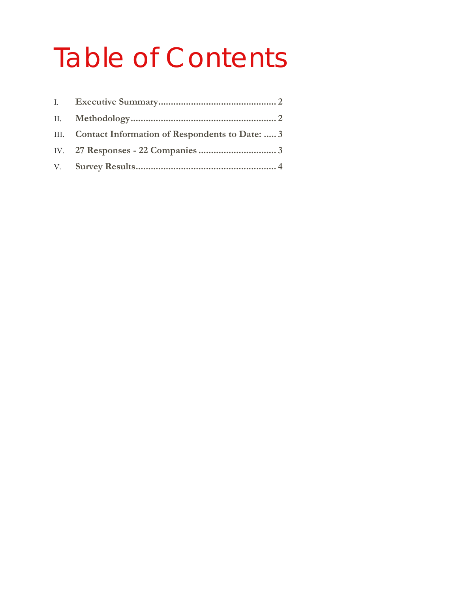# Table of Contents

| III. Contact Information of Respondents to Date:  3 |
|-----------------------------------------------------|
|                                                     |
|                                                     |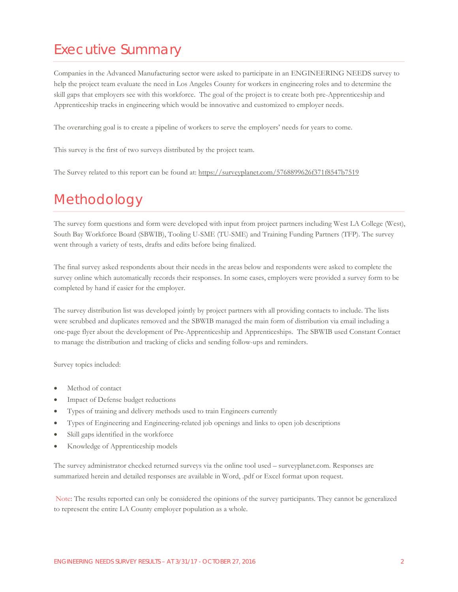### <span id="page-2-0"></span>Executive Summary

Companies in the Advanced Manufacturing sector were asked to participate in an ENGINEERING NEEDS survey to help the project team evaluate the need in Los Angeles County for workers in engineering roles and to determine the skill gaps that employers see with this workforce. The goal of the project is to create both pre-Apprenticeship and Apprenticeship tracks in engineering which would be innovative and customized to employer needs.

The overarching goal is to create a pipeline of workers to serve the employers' needs for years to come.

This survey is the first of two surveys distributed by the project team.

The Survey related to this report can be found at:<https://surveyplanet.com/5768899626f371f8547b7519>

## <span id="page-2-1"></span>Methodology

The survey form questions and form were developed with input from project partners including West LA College (West), South Bay Workforce Board (SBWIB), Tooling U-SME (TU-SME) and Training Funding Partners (TFP). The survey went through a variety of tests, drafts and edits before being finalized.

The final survey asked respondents about their needs in the areas below and respondents were asked to complete the survey online which automatically records their responses. In some cases, employers were provided a survey form to be completed by hand if easier for the employer.

The survey distribution list was developed jointly by project partners with all providing contacts to include. The lists were scrubbed and duplicates removed and the SBWIB managed the main form of distribution via email including a one-page flyer about the development of Pre-Apprenticeship and Apprenticeships. The SBWIB used Constant Contact to manage the distribution and tracking of clicks and sending follow-ups and reminders.

Survey topics included:

- Method of contact
- Impact of Defense budget reductions
- Types of training and delivery methods used to train Engineers currently
- Types of Engineering and Engineering-related job openings and links to open job descriptions
- Skill gaps identified in the workforce
- Knowledge of Apprenticeship models

The survey administrator checked returned surveys via the online tool used – surveyplanet.com. Responses are summarized herein and detailed responses are available in Word, .pdf or Excel format upon request.

Note: The results reported can only be considered the opinions of the survey participants. They cannot be generalized to represent the entire LA County employer population as a whole.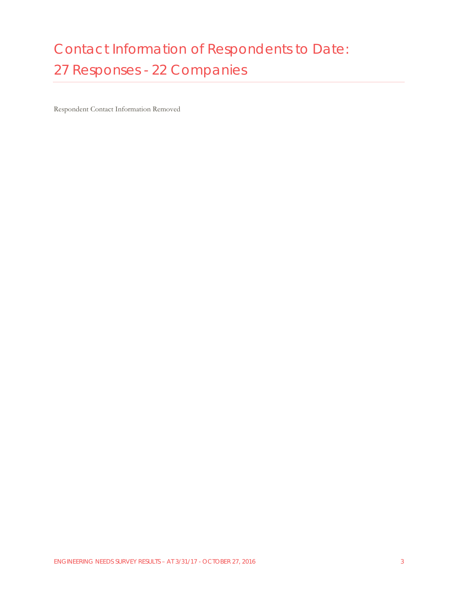## <span id="page-3-1"></span><span id="page-3-0"></span>Contact Information of Respondents to Date: 27 Responses - 22 Companies

Respondent Contact Information Removed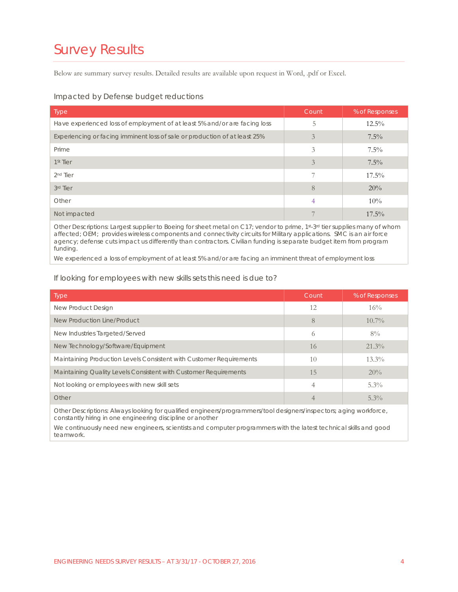## <span id="page-4-0"></span>Survey Results

Below are summary survey results. Detailed results are available upon request in Word, .pdf or Excel.

#### Impacted by Defense budget reductions

| <b>Type</b>                                                                                                                            | Count | % of Responses |
|----------------------------------------------------------------------------------------------------------------------------------------|-------|----------------|
| Have experienced loss of employment of at least 5% and/or are facing loss                                                              | 5     | $12.5\%$       |
| Experiencing or facing imminent loss of sale or production of at least 25%                                                             | 3     | $7.5\%$        |
| Prime                                                                                                                                  | 3     | $7.5\%$        |
| 1 <sup>st</sup> Tier                                                                                                                   | 3     | $7.5\%$        |
| 2 <sup>nd</sup> Tier                                                                                                                   |       | $17.5\%$       |
| 3rd Tier                                                                                                                               | 8     | 20%            |
| Other                                                                                                                                  | 4     | 10%            |
| Not impacted                                                                                                                           |       | $17.5\%$       |
| Other Descriptions: Largest supplier to Boeing for sheet metal on C17: vendor to prime, 1st-3 <sup>rd</sup> tier supplies many of whom |       |                |

Other Descriptions: Largest supplier to Boeing for sheet metal on C17; vendor to prime, 1st-3rd tier supplies many of whom affected; OEM; provides wireless components and connectivity circuits for Military applications. SMC is an air force agency; defense cuts impact us differently than contractors. Civilian funding is separate budget item from program funding.

We experienced a loss of employment of at least 5% and/or are facing an imminent threat of employment loss

#### If looking for employees with new skills sets this need is due to?

| <b>Type</b>                                                         | Count      | % of Responses |
|---------------------------------------------------------------------|------------|----------------|
| New Product Design                                                  | 12         | 16%            |
| New Production Line/Product                                         | 8          | $10.7\%$       |
| New Industries Targeted/Served                                      | $\bigcirc$ | $8\%$          |
| New Technology/Software/Equipment                                   | 16         | $21.3\%$       |
| Maintaining Production Levels Consistent with Customer Requirements | 10         | $13.3\%$       |
| Maintaining Quality Levels Consistent with Customer Requirements    | 1.5        | 20%            |
| Not looking or employees with new skill sets                        | 4          | $5.3\%$        |
| Other                                                               | 4          | $5.3\%$        |

Other Descriptions: Always looking for qualified engineers/programmers/tool designers/inspectors; aging workforce, constantly hiring in one engineering discipline or another

We continuously need new engineers, scientists and computer programmers with the latest technical skills and good teamwork.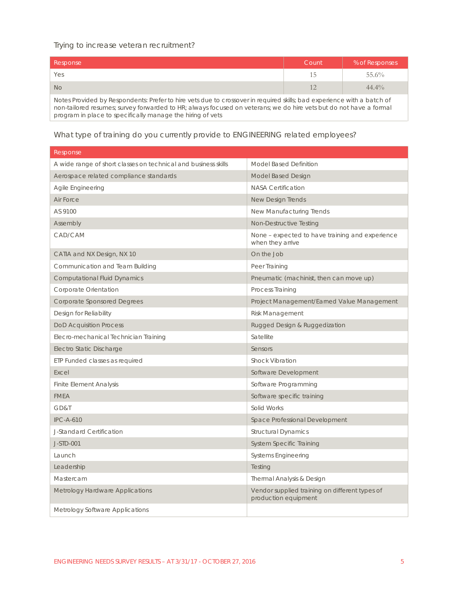#### Trying to increase veteran recruitment?

| Response                                                                                                               | Count | % of Responses |
|------------------------------------------------------------------------------------------------------------------------|-------|----------------|
| Yes                                                                                                                    | ר     | 55.6%          |
| No                                                                                                                     |       | $44.4\%$       |
| Notes Provided by Respondents: Prefer to hire vets due to crossover in required skills; bad experience with a batch of |       |                |

non-tailored resumes; survey forwarded to HR; always focused on veterans; we do hire vets but do not have a formal program in place to specifically manage the hiring of vets

What type of training do you currently provide to ENGINEERING related employees?

| Response                                                       |                                                                        |
|----------------------------------------------------------------|------------------------------------------------------------------------|
| A wide range of short classes on technical and business skills | Model Based Definition                                                 |
| Aerospace related compliance standards                         | Model Based Design                                                     |
| Agile Engineering                                              | <b>NASA Certification</b>                                              |
| Air Force                                                      | New Design Trends                                                      |
| AS 9100                                                        | New Manufacturing Trends                                               |
| Assembly                                                       | Non-Destructive Testing                                                |
| CAD/CAM                                                        | None – expected to have training and experience<br>when they arrive    |
| CATIA and NX Design, NX 10                                     | On the Job                                                             |
| Communication and Team Building                                | Peer Training                                                          |
| <b>Computational Fluid Dynamics</b>                            | Pneumatic (machinist, then can move up)                                |
| Corporate Orientation                                          | <b>Process Training</b>                                                |
| <b>Corporate Sponsored Degrees</b>                             | Project Management/Earned Value Management                             |
| Design for Reliability                                         | <b>Risk Management</b>                                                 |
| <b>DoD Acquisition Process</b>                                 | Rugged Design & Ruggedization                                          |
| Elecro-mechanical Technician Training                          | Satellite                                                              |
| Electro Static Discharge                                       | Sensors                                                                |
| ETP Funded classes as required                                 | <b>Shock Vibration</b>                                                 |
| Excel                                                          | Software Development                                                   |
| <b>Finite Element Analysis</b>                                 | Software Programming                                                   |
| <b>FMEA</b>                                                    | Software specific training                                             |
| GD&T                                                           | Solid Works                                                            |
| <b>IPC-A-610</b>                                               | Space Professional Development                                         |
| J-Standard Certification                                       | <b>Structural Dynamics</b>                                             |
| J-STD-001                                                      | System Specific Training                                               |
| Launch                                                         | Systems Engineering                                                    |
| Leadership                                                     | Testing                                                                |
| Mastercam                                                      | Thermal Analysis & Design                                              |
| Metrology Hardware Applications                                | Vendor supplied training on different types of<br>production equipment |
| Metrology Software Applications                                |                                                                        |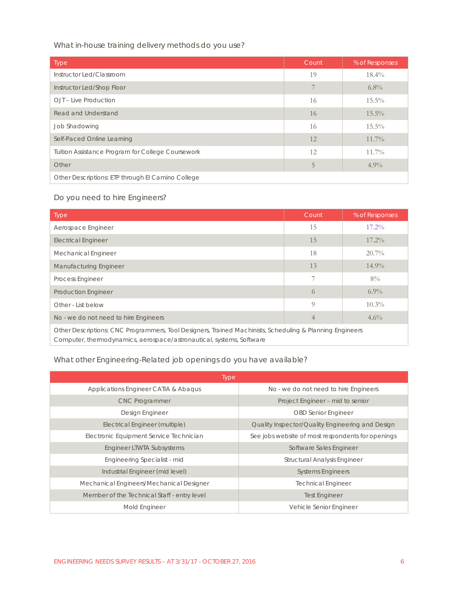What in-house training delivery methods do you use?

| <b>Type</b>                                       | Count | % of Responses |
|---------------------------------------------------|-------|----------------|
| Instructor Led/Classroom                          | 19    | $18.4\%$       |
| Instructor Led/Shop Floor                         |       | $6.8\%$        |
| OJT - Live Production                             | 16    | $15.5\%$       |
| Read and Understand                               | 16    | $15.5\%$       |
| Job Shadowing                                     | 16    | $15.5\%$       |
| Self-Paced Online Learning                        | 12    | $11.7\%$       |
| Tuition Assistance Program for College Coursework | 12    | $11.7\%$       |
| Other                                             | 5     | $4.9\%$        |
| Other Descriptions: ETP through El Camino College |       |                |

#### Do you need to hire Engineers?

| <b>Type</b>                                                                                                                                                                      | Count          | % of Responses |
|----------------------------------------------------------------------------------------------------------------------------------------------------------------------------------|----------------|----------------|
| Aerospace Engineer                                                                                                                                                               | 15             | $17.2\%$       |
| <b>Electrical Engineer</b>                                                                                                                                                       | 15             | $17.2\%$       |
| <b>Mechanical Engineer</b>                                                                                                                                                       | 18             | $20.7\%$       |
| <b>Manufacturing Engineer</b>                                                                                                                                                    | 13             | $14.9\%$       |
| <b>Process Engineer</b>                                                                                                                                                          | 7              | $8\%$          |
| <b>Production Engineer</b>                                                                                                                                                       | 6              | $6.9\%$        |
| Other - List below                                                                                                                                                               | $\Omega$       | $10.3\%$       |
| No - we do not need to hire Engineers                                                                                                                                            | $\overline{4}$ | $4.6\%$        |
| Other Descriptions: CNC Programmers, Tool Designers, Trained Machinists, Scheduling & Planning Engineers<br>Computer, thermodynamics, aerospace/astronautical, systems, Software |                |                |

#### What other Engineering-Related job openings do you have available?

| <b>Type</b>                                 |                                                   |  |
|---------------------------------------------|---------------------------------------------------|--|
| Applications Engineer CATIA & Abagus        | No - we do not need to hire Engineers             |  |
| <b>CNC Programmer</b>                       | Project Engineer - mid to senior                  |  |
| Design Engineer                             | <b>OBD Senior Engineer</b>                        |  |
| Electrical Engineer (multiple)              | Quality Inspector/Quality Engineering and Design  |  |
| Electronic Equipment Service Technician     | See jobs website of most respondents for openings |  |
| Engineer LTWTA Subsystems                   | Software Sales Engineer                           |  |
| Engineering Specialist - mid                | <b>Structural Analysis Engineer</b>               |  |
| Industrial Engineer (mid level)             | <b>Systems Engineers</b>                          |  |
| Mechanical Engineers/Mechanical Designer    | <b>Technical Engineer</b>                         |  |
| Member of the Technical Staff - entry level | <b>Test Engineer</b>                              |  |
| Mold Engineer                               | Vehicle Senior Engineer                           |  |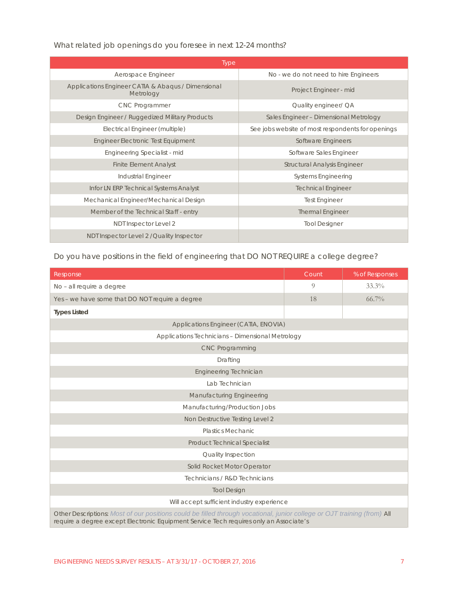What related job openings do you foresee in next 12-24 months?

| <b>Type</b>                                                     |                                                   |  |  |
|-----------------------------------------------------------------|---------------------------------------------------|--|--|
| Aerospace Engineer                                              | No - we do not need to hire Engineers             |  |  |
| Applications Engineer CATIA & Abagus / Dimensional<br>Metrology | Project Engineer - mid                            |  |  |
| <b>CNC Programmer</b>                                           | Quality engineer/ QA                              |  |  |
| Design Engineer / Ruggedized Military Products                  | Sales Engineer - Dimensional Metrology            |  |  |
| Electrical Engineer (multiple)                                  | See jobs website of most respondents for openings |  |  |
| <b>Engineer Electronic Test Equipment</b>                       | Software Engineers                                |  |  |
| Engineering Specialist - mid                                    | Software Sales Engineer                           |  |  |
| <b>Finite Element Analyst</b>                                   | <b>Structural Analysis Engineer</b>               |  |  |
| Industrial Engineer                                             | <b>Systems Engineering</b>                        |  |  |
| Infor LN ERP Technical Systems Analyst                          | <b>Technical Engineer</b>                         |  |  |
| Mechanical Engineer/Mechanical Design                           | <b>Test Engineer</b>                              |  |  |
| Member of the Technical Staff - entry                           | <b>Thermal Engineer</b>                           |  |  |
| NDT Inspector Level 2                                           | <b>Tool Designer</b>                              |  |  |
| NDT Inspector Level 2 / Quality Inspector                       |                                                   |  |  |

Do you have positions in the field of engineering that DO NOT REQUIRE a college degree?

| Response                                                                                                                                                                                                          | Count | % of Responses |  |
|-------------------------------------------------------------------------------------------------------------------------------------------------------------------------------------------------------------------|-------|----------------|--|
| No - all require a degree                                                                                                                                                                                         | 9     | $33.3\%$       |  |
| Yes - we have some that DO NOT require a degree                                                                                                                                                                   | 18    | $66.7\%$       |  |
| <b>Types Listed</b>                                                                                                                                                                                               |       |                |  |
| Applications Engineer (CATIA, ENOVIA)                                                                                                                                                                             |       |                |  |
| <b>Applications Technicians - Dimensional Metrology</b>                                                                                                                                                           |       |                |  |
| <b>CNC Programming</b>                                                                                                                                                                                            |       |                |  |
| Drafting                                                                                                                                                                                                          |       |                |  |
| <b>Engineering Technician</b>                                                                                                                                                                                     |       |                |  |
| Lab Technician                                                                                                                                                                                                    |       |                |  |
| <b>Manufacturing Engineering</b>                                                                                                                                                                                  |       |                |  |
| Manufacturing/Production Jobs                                                                                                                                                                                     |       |                |  |
| Non Destructive Testing Level 2                                                                                                                                                                                   |       |                |  |
| <b>Plastics Mechanic</b>                                                                                                                                                                                          |       |                |  |
| <b>Product Technical Specialist</b>                                                                                                                                                                               |       |                |  |
| <b>Quality Inspection</b>                                                                                                                                                                                         |       |                |  |
| Solid Rocket Motor Operator                                                                                                                                                                                       |       |                |  |
| Technicians / R&D Technicians                                                                                                                                                                                     |       |                |  |
| <b>Tool Design</b>                                                                                                                                                                                                |       |                |  |
| Will accept sufficient industry experience                                                                                                                                                                        |       |                |  |
| Other Descriptions: Most of our positions could be filled through vocational, junior college or OJT training (from) All<br>require a degree except Electronic Equipment Service Tech requires only an Associate's |       |                |  |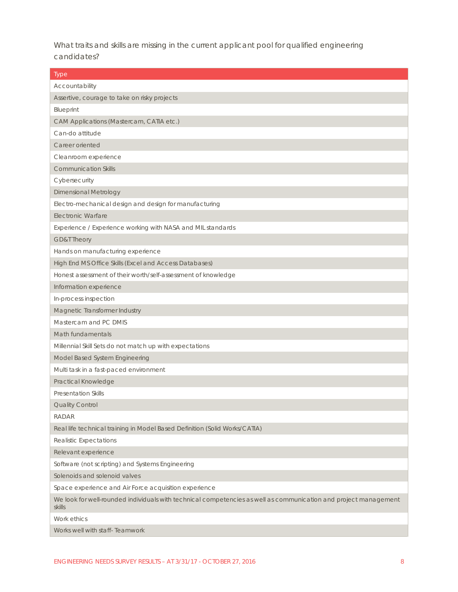What traits and skills are missing in the current applicant pool for qualified engineering candidates?

| Type                                                                                                                       |
|----------------------------------------------------------------------------------------------------------------------------|
| Accountability                                                                                                             |
| Assertive, courage to take on risky projects                                                                               |
| Blueprint                                                                                                                  |
| CAM Applications (Mastercam, CATIA etc.)                                                                                   |
| Can-do attitude                                                                                                            |
| Career oriented                                                                                                            |
| Cleanroom experience                                                                                                       |
| <b>Communication Skills</b>                                                                                                |
| Cybersecurity                                                                                                              |
| <b>Dimensional Metrology</b>                                                                                               |
| Electro-mechanical design and design for manufacturing                                                                     |
| <b>Electronic Warfare</b>                                                                                                  |
| Experience / Experience working with NASA and MIL standards                                                                |
| <b>GD&amp;T Theory</b>                                                                                                     |
| Hands on manufacturing experience                                                                                          |
| High End MS Office Skills (Excel and Access Databases)                                                                     |
| Honest assessment of their worth/self-assessment of knowledge                                                              |
| Information experience                                                                                                     |
| In-process inspection                                                                                                      |
| Magnetic Transformer Industry                                                                                              |
| Mastercam and PC DMIS                                                                                                      |
| Math fundamentals                                                                                                          |
| Millennial Skill Sets do not match up with expectations                                                                    |
| Model Based System Engineering                                                                                             |
| Multi task in a fast-paced environment                                                                                     |
| Practical Knowledge                                                                                                        |
| <b>Presentation Skills</b>                                                                                                 |
| Quality Control                                                                                                            |
| <b>RADAR</b>                                                                                                               |
| Real life technical training in Model Based Definition (Solid Works/CATIA)                                                 |
| Realistic Expectations                                                                                                     |
| Relevant experience                                                                                                        |
| Software (not scripting) and Systems Engineering                                                                           |
| Solenoids and solenoid valves                                                                                              |
| Space experience and Air Force acquisition experience                                                                      |
| We look for well-rounded individuals with technical competencies as well as communication and project management<br>skills |
| Work ethics                                                                                                                |
| Works well with staff- Teamwork                                                                                            |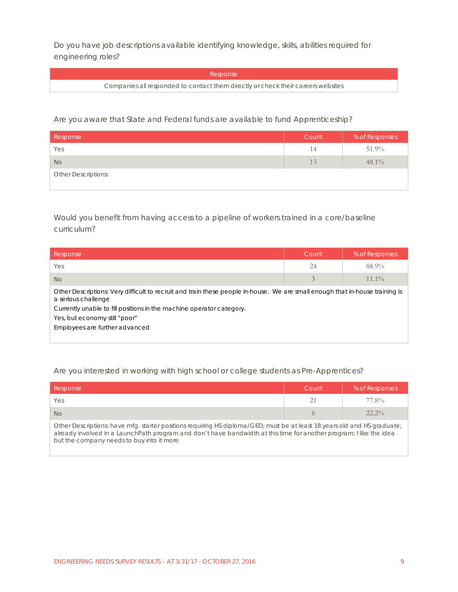Do you have job descriptions available identifying knowledge, skills, abilities required for engineering roles?

Response

Companies all responded to contact them directly or check their careers websites

Are you aware that State and Federal funds are available to fund Apprenticeship?

| Response                   | Count | % of Responses |
|----------------------------|-------|----------------|
| Yes                        | 14    | 51.9%          |
| <b>No</b>                  | 13    | $48.1\%$       |
| <b>Other Descriptions:</b> |       |                |

Would you benefit from having access to a pipeline of workers trained in a core/baseline curriculum?

| Response                                                                                                                                            | Count | % of Responses |
|-----------------------------------------------------------------------------------------------------------------------------------------------------|-------|----------------|
| Yes                                                                                                                                                 | 24    | 88.9%          |
| N <sub>o</sub>                                                                                                                                      | 3     | $11.1\%$       |
| Other Descriptions: Very difficult to recruit and train these people in-house. We are small enough that in-house training is<br>a serious challenge |       |                |
| Currently unable to fill positions in the machine operator category.                                                                                |       |                |
| Yes, but economy still "poor"                                                                                                                       |       |                |
| Employees are further advanced                                                                                                                      |       |                |
|                                                                                                                                                     |       |                |

#### Are you interested in working with high school or college students as Pre-Apprentices?

| Response                                                                                                                                                                                                                                        | Count | % of Responses |
|-------------------------------------------------------------------------------------------------------------------------------------------------------------------------------------------------------------------------------------------------|-------|----------------|
| <b>Yes</b>                                                                                                                                                                                                                                      |       | 77.8%          |
| <b>No</b>                                                                                                                                                                                                                                       |       | $22.2\%$       |
| Other Descriptions: have mfg. starter positions requiring HS diploma/GED; must be at least 18 years old and HS graduate;<br>already involved in a LaunchPath program and don't have bandwidth at this time for another program; I like the idea |       |                |

but the company needs to buy into it more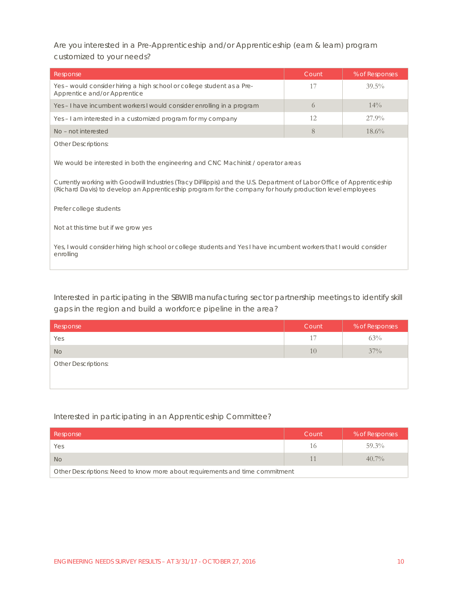Are you interested in a Pre-Apprenticeship and/or Apprenticeship (earn & learn) program customized to your needs?

| Response                                                                                                                                                                                                                                                                                                                   | Count | % of Responses |
|----------------------------------------------------------------------------------------------------------------------------------------------------------------------------------------------------------------------------------------------------------------------------------------------------------------------------|-------|----------------|
| Yes – would consider hiring a high school or college student as a Pre-<br>Apprentice and/or Apprentice                                                                                                                                                                                                                     | 17    | $39.5\%$       |
| Yes - I have incumbent workers I would consider enrolling in a program                                                                                                                                                                                                                                                     | 6     | $14\%$         |
| Yes-I am interested in a customized program for my company                                                                                                                                                                                                                                                                 | 12    | $27.9\%$       |
| No - not interested                                                                                                                                                                                                                                                                                                        | 8     | $18.6\%$       |
| <b>Other Descriptions:</b>                                                                                                                                                                                                                                                                                                 |       |                |
| We would be interested in both the engineering and CNC Machinist / operator areas<br>Currently working with Goodwill Industries (Tracy Difilippis) and the U.S. Department of Labor Office of Apprenticeship<br>(Richard Davis) to develop an Apprenticeship program for the company for hourly production level employees |       |                |
| Prefer college students                                                                                                                                                                                                                                                                                                    |       |                |
| Not at this time but if we grow yes                                                                                                                                                                                                                                                                                        |       |                |
| Yes, I would consider hiring high school or college students and Yes I have incumbent workers that I would consider<br>enrolling                                                                                                                                                                                           |       |                |

Interested in participating in the SBWIB manufacturing sector partnership meetings to identify skill gaps in the region and build a workforce pipeline in the area?

| Count | % of Responses |
|-------|----------------|
| 17    | 63%            |
| 10    | $37\%$         |
|       |                |
|       |                |
|       |                |

#### Interested in participating in an Apprenticeship Committee?

| Response                                                                     | Count | % of Responses |
|------------------------------------------------------------------------------|-------|----------------|
| Yes                                                                          |       | $59.3\%$       |
| <b>No</b>                                                                    |       | $40.7\%$       |
| Other Descriptions: Need to know more about requirements and time commitment |       |                |